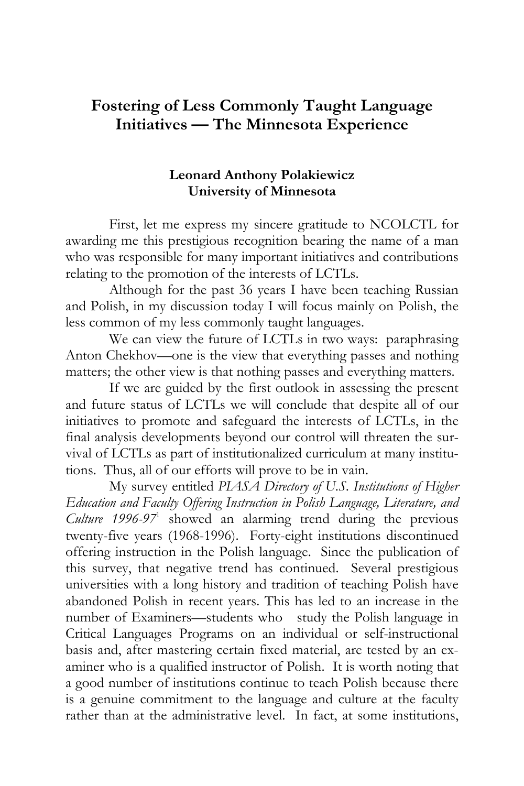# **Fostering of Less Commonly Taught Language Initiatives — The Minnesota Experience**

## **Leonard Anthony Polakiewicz University of Minnesota**

First, let me express my sincere gratitude to NCOLCTL for awarding me this prestigious recognition bearing the name of a man who was responsible for many important initiatives and contributions relating to the promotion of the interests of LCTLs.

Although for the past 36 years I have been teaching Russian and Polish, in my discussion today I will focus mainly on Polish, the less common of my less commonly taught languages.

We can view the future of LCTLs in two ways: paraphrasing Anton Chekhov—one is the view that everything passes and nothing matters; the other view is that nothing passes and everything matters.

If we are guided by the first outlook in assessing the present and future status of LCTLs we will conclude that despite all of our initiatives to promote and safeguard the interests of LCTLs, in the final analysis developments beyond our control will threaten the survival of LCTLs as part of institutionalized curriculum at many institutions. Thus, all of our efforts will prove to be in vain.

My survey entitled *PIASA Directory of U.S. Institutions of Higher Education and Faculty Offering Instruction in Polish Language, Literature, and Culture 1996-97*<sup>1</sup> showed an alarming trend during the previous twenty-five years (1968-1996). Forty-eight institutions discontinued offering instruction in the Polish language. Since the publication of this survey, that negative trend has continued. Several prestigious universities with a long history and tradition of teaching Polish have abandoned Polish in recent years. This has led to an increase in the number of Examiners—students who study the Polish language in Critical Languages Programs on an individual or self-instructional basis and, after mastering certain fixed material, are tested by an examiner who is a qualified instructor of Polish. It is worth noting that a good number of institutions continue to teach Polish because there is a genuine commitment to the language and culture at the faculty rather than at the administrative level. In fact, at some institutions,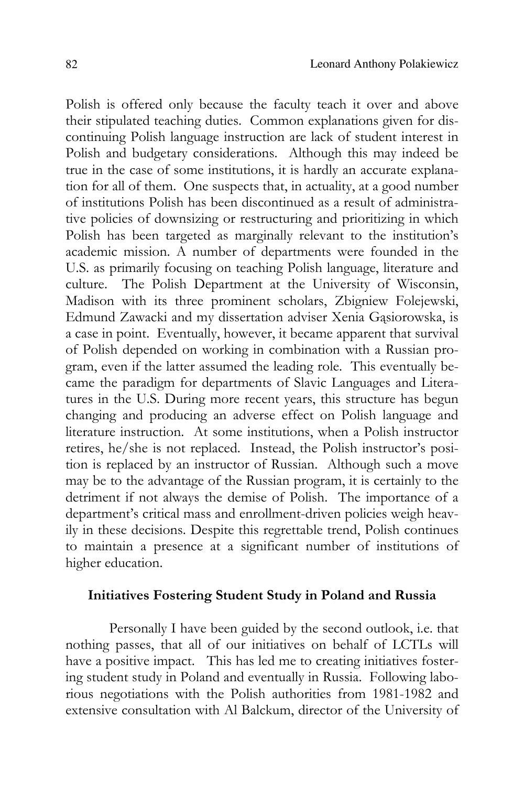Polish is offered only because the faculty teach it over and above their stipulated teaching duties. Common explanations given for discontinuing Polish language instruction are lack of student interest in Polish and budgetary considerations. Although this may indeed be true in the case of some institutions, it is hardly an accurate explanation for all of them. One suspects that, in actuality, at a good number of institutions Polish has been discontinued as a result of administrative policies of downsizing or restructuring and prioritizing in which Polish has been targeted as marginally relevant to the institution's academic mission. A number of departments were founded in the U.S. as primarily focusing on teaching Polish language, literature and culture. The Polish Department at the University of Wisconsin, Madison with its three prominent scholars, Zbigniew Folejewski, Edmund Zawacki and my dissertation adviser Xenia Gąsiorowska, is a case in point. Eventually, however, it became apparent that survival of Polish depended on working in combination with a Russian program, even if the latter assumed the leading role. This eventually became the paradigm for departments of Slavic Languages and Literatures in the U.S. During more recent years, this structure has begun changing and producing an adverse effect on Polish language and literature instruction. At some institutions, when a Polish instructor retires, he/she is not replaced. Instead, the Polish instructor's position is replaced by an instructor of Russian. Although such a move may be to the advantage of the Russian program, it is certainly to the detriment if not always the demise of Polish. The importance of a department's critical mass and enrollment-driven policies weigh heavily in these decisions. Despite this regrettable trend, Polish continues to maintain a presence at a significant number of institutions of higher education.

#### **Initiatives Fostering Student Study in Poland and Russia**

Personally I have been guided by the second outlook, i.e. that nothing passes, that all of our initiatives on behalf of LCTLs will have a positive impact. This has led me to creating initiatives fostering student study in Poland and eventually in Russia. Following laborious negotiations with the Polish authorities from 1981-1982 and extensive consultation with Al Balckum, director of the University of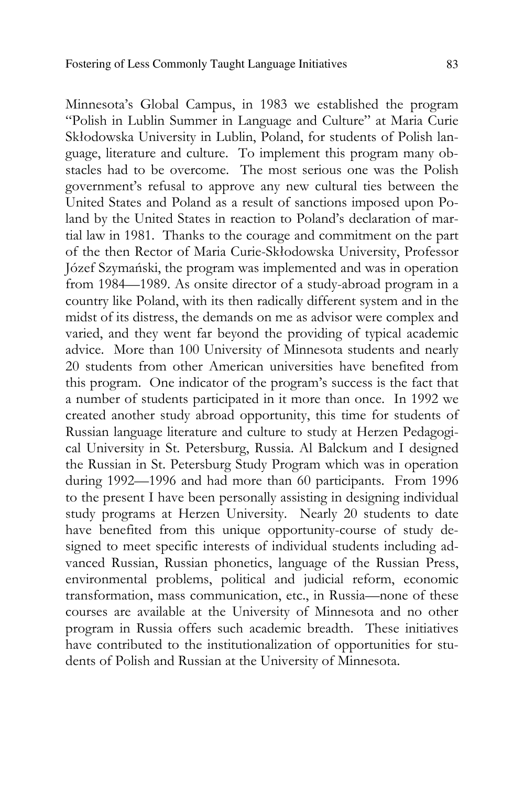Minnesota's Global Campus, in 1983 we established the program "Polish in Lublin Summer in Language and Culture" at Maria Curie Skłodowska University in Lublin, Poland, for students of Polish language, literature and culture. To implement this program many obstacles had to be overcome. The most serious one was the Polish government's refusal to approve any new cultural ties between the United States and Poland as a result of sanctions imposed upon Poland by the United States in reaction to Poland's declaration of martial law in 1981. Thanks to the courage and commitment on the part of the then Rector of Maria Curie-Skłodowska University, Professor Józef Szymański, the program was implemented and was in operation from 1984—1989. As onsite director of a study-abroad program in a country like Poland, with its then radically different system and in the midst of its distress, the demands on me as advisor were complex and varied, and they went far beyond the providing of typical academic advice. More than 100 University of Minnesota students and nearly 20 students from other American universities have benefited from this program. One indicator of the program's success is the fact that a number of students participated in it more than once. In 1992 we created another study abroad opportunity, this time for students of Russian language literature and culture to study at Herzen Pedagogical University in St. Petersburg, Russia. Al Balckum and I designed the Russian in St. Petersburg Study Program which was in operation during 1992—1996 and had more than 60 participants. From 1996 to the present I have been personally assisting in designing individual study programs at Herzen University. Nearly 20 students to date have benefited from this unique opportunity-course of study designed to meet specific interests of individual students including advanced Russian, Russian phonetics, language of the Russian Press, environmental problems, political and judicial reform, economic transformation, mass communication, etc., in Russia—none of these courses are available at the University of Minnesota and no other program in Russia offers such academic breadth. These initiatives have contributed to the institutionalization of opportunities for students of Polish and Russian at the University of Minnesota.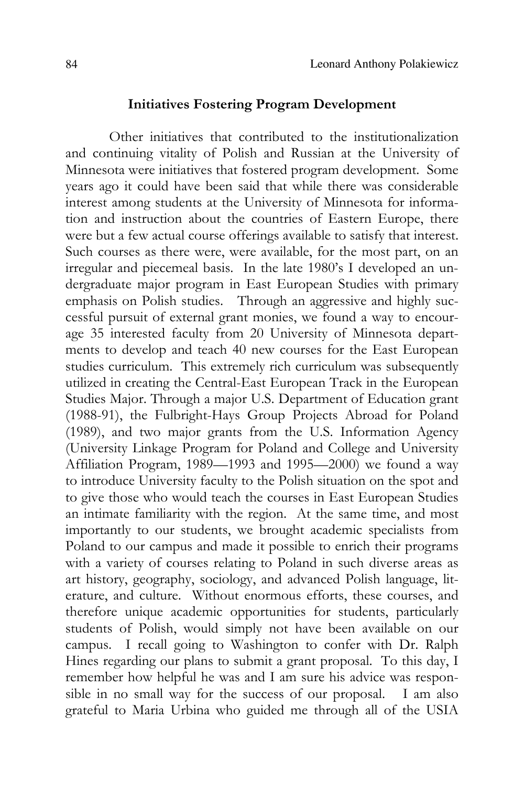#### **Initiatives Fostering Program Development**

Other initiatives that contributed to the institutionalization and continuing vitality of Polish and Russian at the University of Minnesota were initiatives that fostered program development. Some years ago it could have been said that while there was considerable interest among students at the University of Minnesota for information and instruction about the countries of Eastern Europe, there were but a few actual course offerings available to satisfy that interest. Such courses as there were, were available, for the most part, on an irregular and piecemeal basis. In the late 1980's I developed an undergraduate major program in East European Studies with primary emphasis on Polish studies. Through an aggressive and highly successful pursuit of external grant monies, we found a way to encourage 35 interested faculty from 20 University of Minnesota departments to develop and teach 40 new courses for the East European studies curriculum. This extremely rich curriculum was subsequently utilized in creating the Central-East European Track in the European Studies Major. Through a major U.S. Department of Education grant (1988-91), the Fulbright-Hays Group Projects Abroad for Poland (1989), and two major grants from the U.S. Information Agency (University Linkage Program for Poland and College and University Affiliation Program, 1989—1993 and 1995—2000) we found a way to introduce University faculty to the Polish situation on the spot and to give those who would teach the courses in East European Studies an intimate familiarity with the region. At the same time, and most importantly to our students, we brought academic specialists from Poland to our campus and made it possible to enrich their programs with a variety of courses relating to Poland in such diverse areas as art history, geography, sociology, and advanced Polish language, literature, and culture. Without enormous efforts, these courses, and therefore unique academic opportunities for students, particularly students of Polish, would simply not have been available on our campus. I recall going to Washington to confer with Dr. Ralph Hines regarding our plans to submit a grant proposal. To this day, I remember how helpful he was and I am sure his advice was responsible in no small way for the success of our proposal. I am also grateful to Maria Urbina who guided me through all of the USIA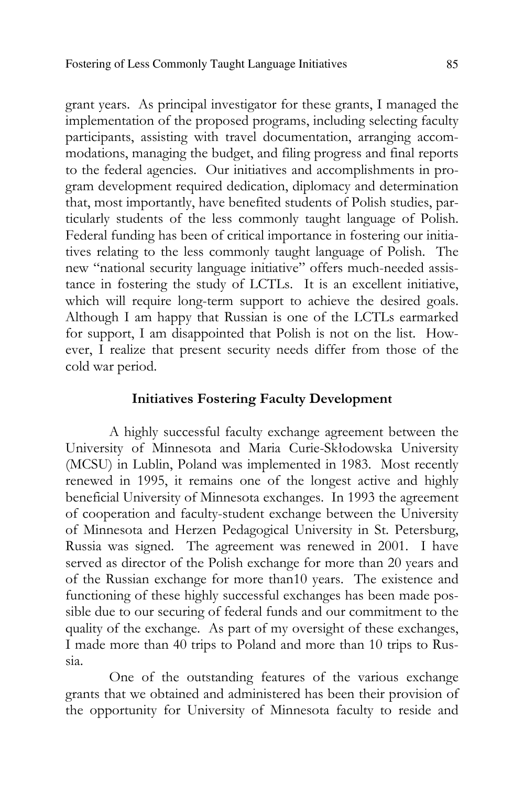grant years. As principal investigator for these grants, I managed the implementation of the proposed programs, including selecting faculty participants, assisting with travel documentation, arranging accommodations, managing the budget, and filing progress and final reports to the federal agencies. Our initiatives and accomplishments in program development required dedication, diplomacy and determination that, most importantly, have benefited students of Polish studies, particularly students of the less commonly taught language of Polish. Federal funding has been of critical importance in fostering our initiatives relating to the less commonly taught language of Polish. The new "national security language initiative" offers much-needed assistance in fostering the study of LCTLs. It is an excellent initiative, which will require long-term support to achieve the desired goals. Although I am happy that Russian is one of the LCTLs earmarked for support, I am disappointed that Polish is not on the list. However, I realize that present security needs differ from those of the cold war period.

### **Initiatives Fostering Faculty Development**

A highly successful faculty exchange agreement between the University of Minnesota and Maria Curie-Skłodowska University (MCSU) in Lublin, Poland was implemented in 1983. Most recently renewed in 1995, it remains one of the longest active and highly beneficial University of Minnesota exchanges. In 1993 the agreement of cooperation and faculty-student exchange between the University of Minnesota and Herzen Pedagogical University in St. Petersburg, Russia was signed. The agreement was renewed in 2001. I have served as director of the Polish exchange for more than 20 years and of the Russian exchange for more than10 years. The existence and functioning of these highly successful exchanges has been made possible due to our securing of federal funds and our commitment to the quality of the exchange. As part of my oversight of these exchanges, I made more than 40 trips to Poland and more than 10 trips to Russia.

One of the outstanding features of the various exchange grants that we obtained and administered has been their provision of the opportunity for University of Minnesota faculty to reside and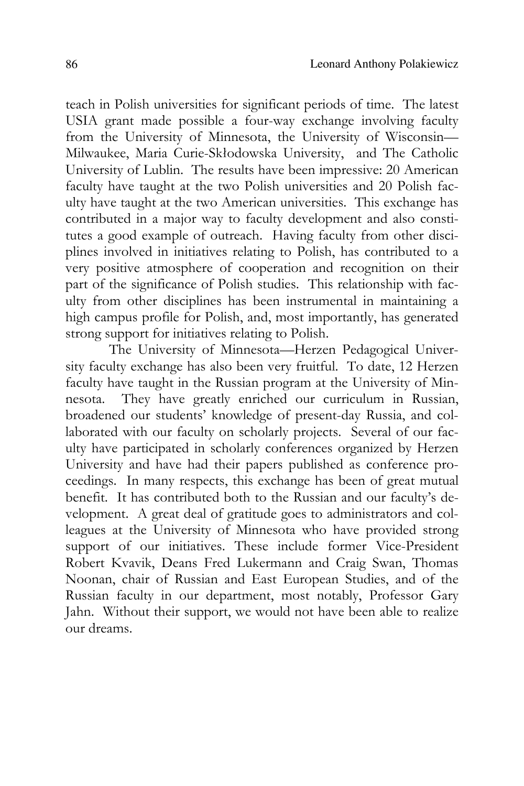teach in Polish universities for significant periods of time. The latest USIA grant made possible a four-way exchange involving faculty from the University of Minnesota, the University of Wisconsin— Milwaukee, Maria Curie-Skłodowska University, and The Catholic University of Lublin. The results have been impressive: 20 American faculty have taught at the two Polish universities and 20 Polish faculty have taught at the two American universities. This exchange has contributed in a major way to faculty development and also constitutes a good example of outreach. Having faculty from other disciplines involved in initiatives relating to Polish, has contributed to a very positive atmosphere of cooperation and recognition on their part of the significance of Polish studies. This relationship with faculty from other disciplines has been instrumental in maintaining a high campus profile for Polish, and, most importantly, has generated strong support for initiatives relating to Polish.

The University of Minnesota—Herzen Pedagogical University faculty exchange has also been very fruitful. To date, 12 Herzen faculty have taught in the Russian program at the University of Minnesota. They have greatly enriched our curriculum in Russian, broadened our students' knowledge of present-day Russia, and collaborated with our faculty on scholarly projects. Several of our faculty have participated in scholarly conferences organized by Herzen University and have had their papers published as conference proceedings. In many respects, this exchange has been of great mutual benefit. It has contributed both to the Russian and our faculty's development. A great deal of gratitude goes to administrators and colleagues at the University of Minnesota who have provided strong support of our initiatives. These include former Vice-President Robert Kvavik, Deans Fred Lukermann and Craig Swan, Thomas Noonan, chair of Russian and East European Studies, and of the Russian faculty in our department, most notably, Professor Gary Jahn. Without their support, we would not have been able to realize our dreams.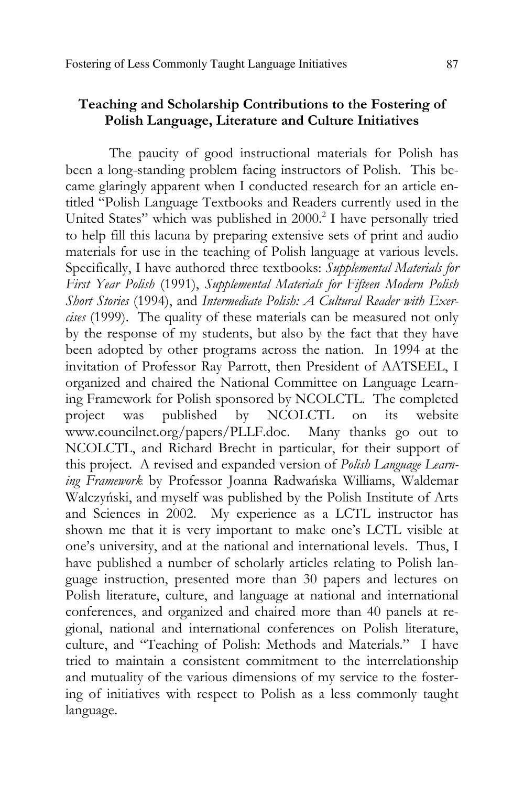# **Teaching and Scholarship Contributions to the Fostering of Polish Language, Literature and Culture Initiatives**

The paucity of good instructional materials for Polish has been a long-standing problem facing instructors of Polish. This became glaringly apparent when I conducted research for an article entitled "Polish Language Textbooks and Readers currently used in the United States" which was published in 2000.<sup>2</sup> I have personally tried to help fill this lacuna by preparing extensive sets of print and audio materials for use in the teaching of Polish language at various levels. Specifically, I have authored three textbooks: *Supplemental Materials for First Year Polish* (1991), *Supplemental Materials for Fifteen Modern Polish Short Stories* (1994), and *Intermediate Polish: A Cultural Reader with Exercises* (1999). The quality of these materials can be measured not only by the response of my students, but also by the fact that they have been adopted by other programs across the nation. In 1994 at the invitation of Professor Ray Parrott, then President of AATSEEL, I organized and chaired the National Committee on Language Learning Framework for Polish sponsored by NCOLCTL. The completed project was published by NCOLCTL on its website<br>www.councilnet.org/papers/PLLF.doc. Many thanks go out to www.councilnet.org/papers/PLLF.doc. NCOLCTL, and Richard Brecht in particular, for their support of this project. A revised and expanded version of *Polish Language Learning Framework* by Professor Joanna Radwańska Williams, Waldemar Walczyński, and myself was published by the Polish Institute of Arts and Sciences in 2002. My experience as a LCTL instructor has shown me that it is very important to make one's LCTL visible at one's university, and at the national and international levels. Thus, I have published a number of scholarly articles relating to Polish language instruction, presented more than 30 papers and lectures on Polish literature, culture, and language at national and international conferences, and organized and chaired more than 40 panels at regional, national and international conferences on Polish literature, culture, and "Teaching of Polish: Methods and Materials." I have tried to maintain a consistent commitment to the interrelationship and mutuality of the various dimensions of my service to the fostering of initiatives with respect to Polish as a less commonly taught language.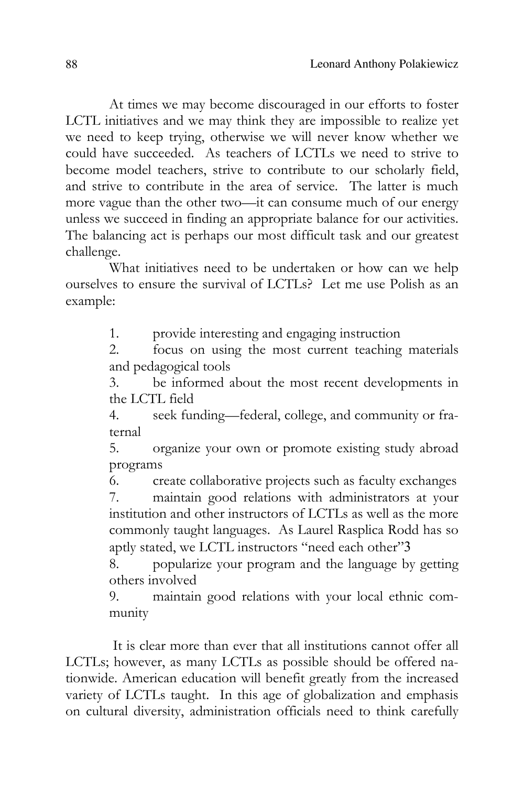At times we may become discouraged in our efforts to foster LCTL initiatives and we may think they are impossible to realize yet we need to keep trying, otherwise we will never know whether we could have succeeded. As teachers of LCTLs we need to strive to become model teachers, strive to contribute to our scholarly field, and strive to contribute in the area of service. The latter is much more vague than the other two—it can consume much of our energy unless we succeed in finding an appropriate balance for our activities. The balancing act is perhaps our most difficult task and our greatest challenge.

What initiatives need to be undertaken or how can we help ourselves to ensure the survival of LCTLs? Let me use Polish as an example:

1. provide interesting and engaging instruction

2. focus on using the most current teaching materials and pedagogical tools

3. be informed about the most recent developments in the LCTL field

4. seek funding—federal, college, and community or fraternal

5. organize your own or promote existing study abroad programs

6. create collaborative projects such as faculty exchanges 7. maintain good relations with administrators at your institution and other instructors of LCTLs as well as the more commonly taught languages. As Laurel Rasplica Rodd has so aptly stated, we LCTL instructors "need each other"3

8. popularize your program and the language by getting others involved

9. maintain good relations with your local ethnic community

 It is clear more than ever that all institutions cannot offer all LCTLs; however, as many LCTLs as possible should be offered nationwide. American education will benefit greatly from the increased variety of LCTLs taught. In this age of globalization and emphasis on cultural diversity, administration officials need to think carefully